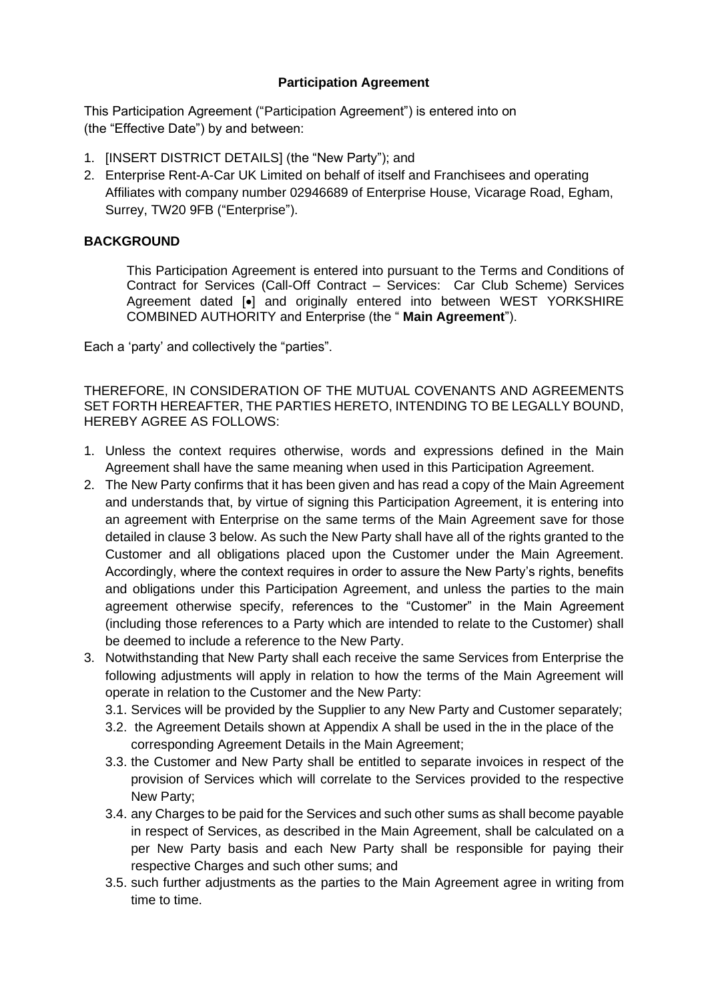### **Participation Agreement**

This Participation Agreement ("Participation Agreement") is entered into on (the "Effective Date") by and between:

- 1. [INSERT DISTRICT DETAILS] (the "New Party"); and
- 2. Enterprise Rent-A-Car UK Limited on behalf of itself and Franchisees and operating Affiliates with company number 02946689 of Enterprise House, Vicarage Road, Egham, Surrey, TW20 9FB ("Enterprise").

### **BACKGROUND**

This Participation Agreement is entered into pursuant to the Terms and Conditions of Contract for Services (Call-Off Contract – Services: Car Club Scheme) Services Agreement dated [•] and originally entered into between WEST YORKSHIRE COMBINED AUTHORITY and Enterprise (the " **Main Agreement**").

Each a 'party' and collectively the "parties".

THEREFORE, IN CONSIDERATION OF THE MUTUAL COVENANTS AND AGREEMENTS SET FORTH HEREAFTER, THE PARTIES HERETO, INTENDING TO BE LEGALLY BOUND, HEREBY AGREE AS FOLLOWS:

- 1. Unless the context requires otherwise, words and expressions defined in the Main Agreement shall have the same meaning when used in this Participation Agreement.
- 2. The New Party confirms that it has been given and has read a copy of the Main Agreement and understands that, by virtue of signing this Participation Agreement, it is entering into an agreement with Enterprise on the same terms of the Main Agreement save for those detailed in clause 3 below. As such the New Party shall have all of the rights granted to the Customer and all obligations placed upon the Customer under the Main Agreement. Accordingly, where the context requires in order to assure the New Party's rights, benefits and obligations under this Participation Agreement, and unless the parties to the main agreement otherwise specify, references to the "Customer" in the Main Agreement (including those references to a Party which are intended to relate to the Customer) shall be deemed to include a reference to the New Party.
- 3. Notwithstanding that New Party shall each receive the same Services from Enterprise the following adjustments will apply in relation to how the terms of the Main Agreement will operate in relation to the Customer and the New Party:
	- 3.1. Services will be provided by the Supplier to any New Party and Customer separately;
	- 3.2. the Agreement Details shown at Appendix A shall be used in the in the place of the corresponding Agreement Details in the Main Agreement;
	- 3.3. the Customer and New Party shall be entitled to separate invoices in respect of the provision of Services which will correlate to the Services provided to the respective New Party;
	- 3.4. any Charges to be paid for the Services and such other sums as shall become payable in respect of Services, as described in the Main Agreement, shall be calculated on a per New Party basis and each New Party shall be responsible for paying their respective Charges and such other sums; and
	- 3.5. such further adjustments as the parties to the Main Agreement agree in writing from time to time.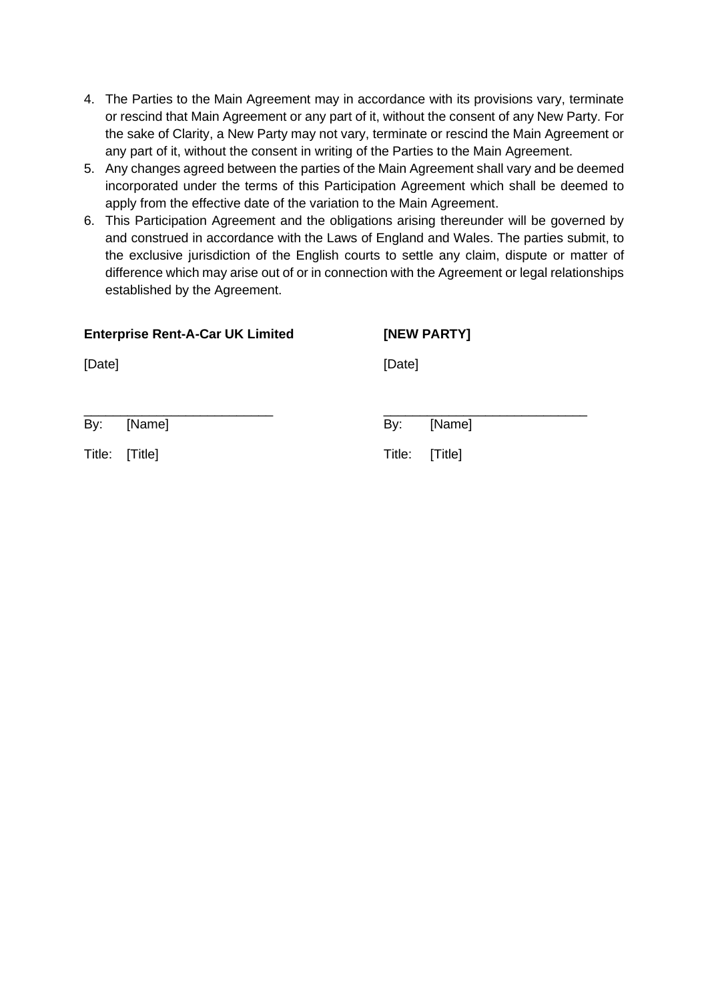- 4. The Parties to the Main Agreement may in accordance with its provisions vary, terminate or rescind that Main Agreement or any part of it, without the consent of any New Party. For the sake of Clarity, a New Party may not vary, terminate or rescind the Main Agreement or any part of it, without the consent in writing of the Parties to the Main Agreement.
- 5. Any changes agreed between the parties of the Main Agreement shall vary and be deemed incorporated under the terms of this Participation Agreement which shall be deemed to apply from the effective date of the variation to the Main Agreement.
- 6. This Participation Agreement and the obligations arising thereunder will be governed by and construed in accordance with the Laws of England and Wales. The parties submit, to the exclusive jurisdiction of the English courts to settle any claim, dispute or matter of difference which may arise out of or in connection with the Agreement or legal relationships established by the Agreement.

### **Enterprise Rent-A-Car UK Limited [NEW PARTY]**

[Date] [Date]

\_\_\_\_\_\_\_\_\_\_\_\_\_\_\_\_\_\_\_\_\_\_\_\_\_\_ \_\_\_\_\_\_\_\_\_\_\_\_\_\_\_\_\_\_\_\_\_\_\_\_\_\_\_\_ By: [Name] By: [Name]

Title: [Title] Title: [Title]